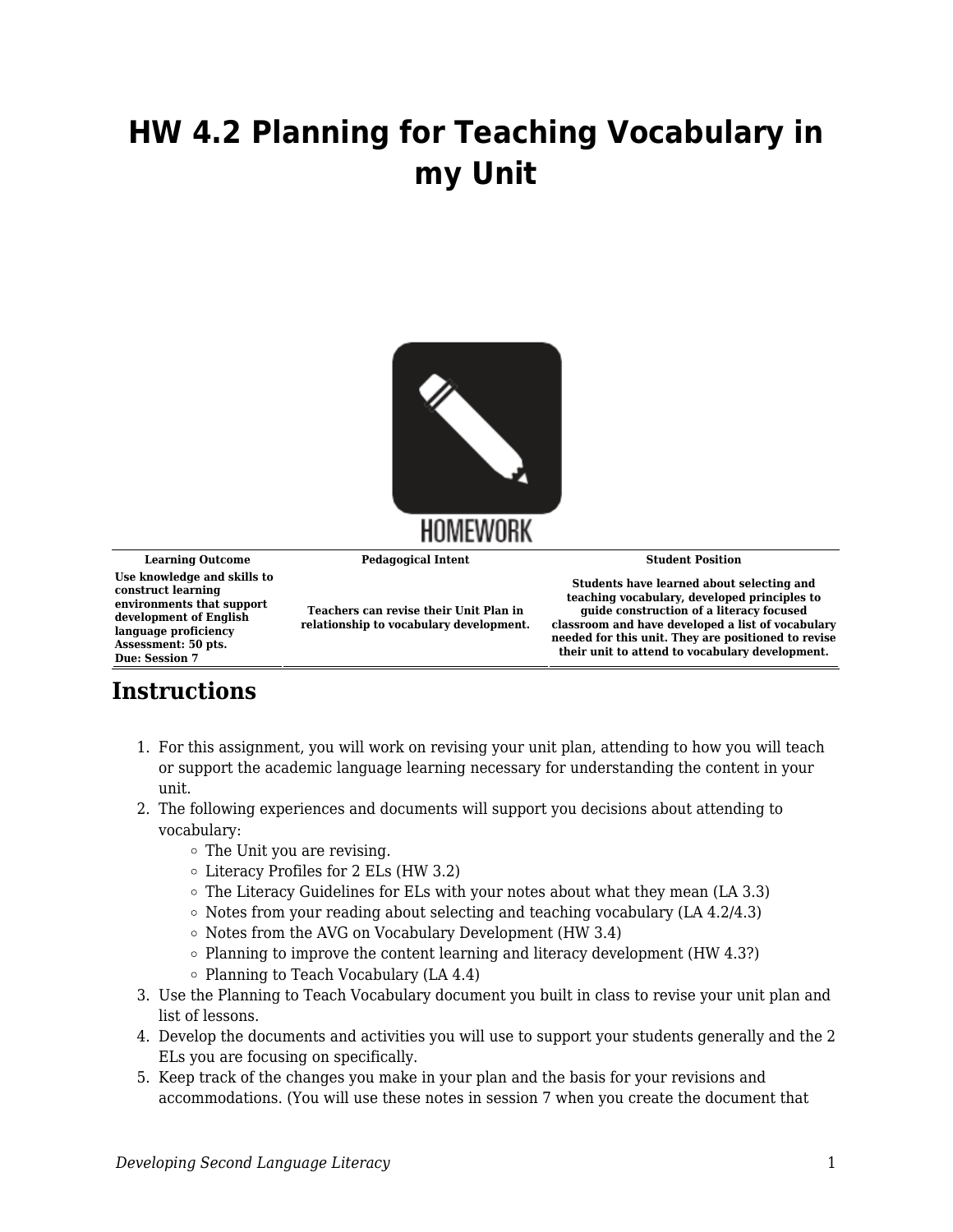## **HW 4.2 Planning for Teaching Vocabulary in my Unit**



**Learning Outcome Pedagogical Intent Student Position Use knowledge and skills to**

**construct learning environments that support development of English language proficiency Assessment: 50 pts. Due: Session 7**

**Teachers can revise their Unit Plan in relationship to vocabulary development.**

**Students have learned about selecting and teaching vocabulary, developed principles to guide construction of a literacy focused classroom and have developed a list of vocabulary needed for this unit. They are positioned to revise their unit to attend to vocabulary development.**

## **Instructions**

- 1. For this assignment, you will work on revising your unit plan, attending to how you will teach or support the academic language learning necessary for understanding the content in your unit.
- 2. The following experiences and documents will support you decisions about attending to vocabulary:
	- The Unit you are revising.
	- Literacy Profiles for 2 ELs (HW 3.2)
	- $\circ$  The Literacy Guidelines for ELs with your notes about what they mean (LA 3.3)
	- $\circ$  Notes from your reading about selecting and teaching vocabulary (LA 4.2/4.3)
	- $\circ$  Notes from the AVG on Vocabulary Development (HW 3.4)
	- $\circ$  Planning to improve the content learning and literacy development (HW 4.3?)
	- $\circ$  Planning to Teach Vocabulary (LA 4.4)
- 3. Use the Planning to Teach Vocabulary document you built in class to revise your unit plan and list of lessons.
- 4. Develop the documents and activities you will use to support your students generally and the 2 ELs you are focusing on specifically.
- 5. Keep track of the changes you make in your plan and the basis for your revisions and accommodations. (You will use these notes in session 7 when you create the document that